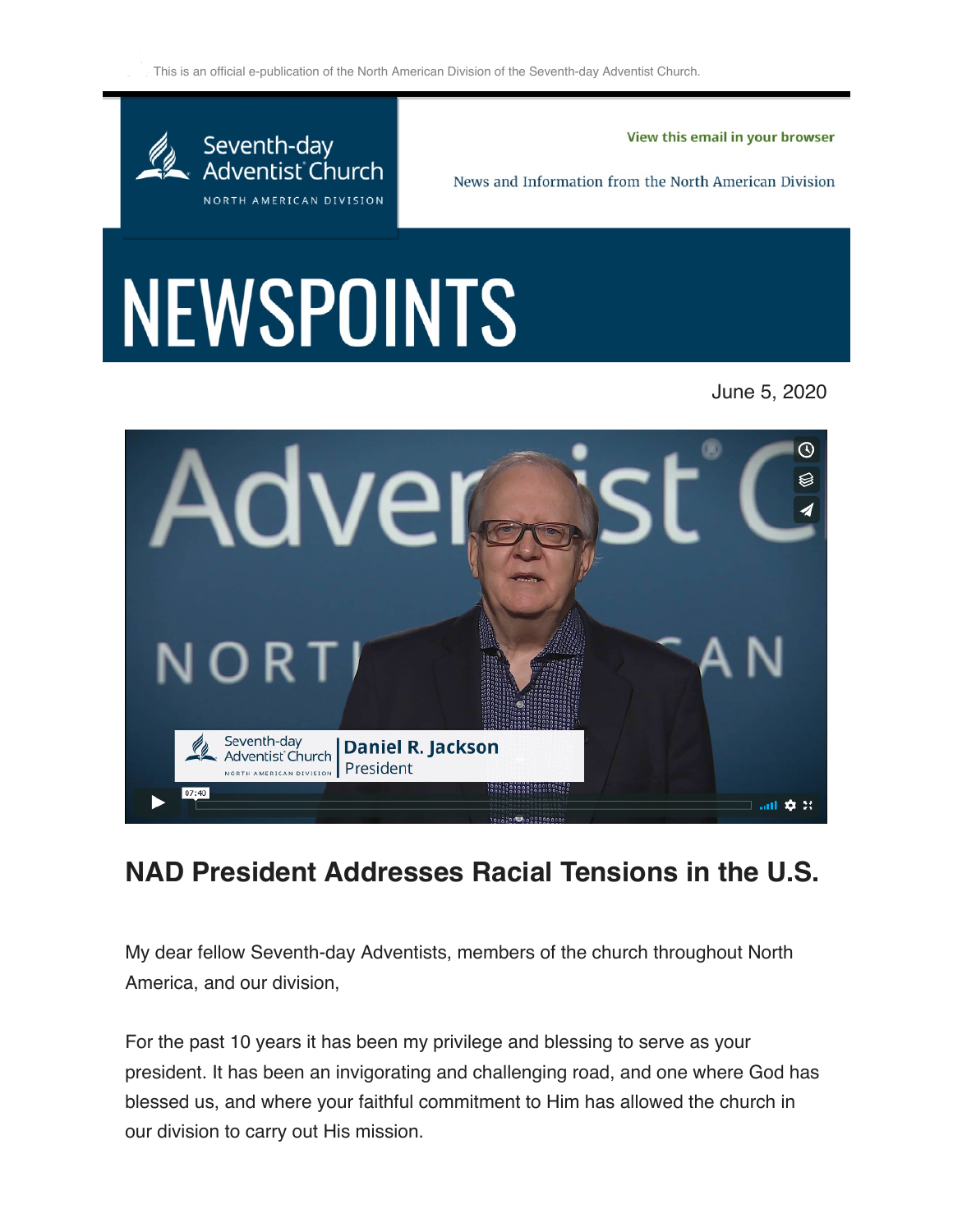$\leq$  This is an official e-publication of the North American Division of the Seventh-day Adventist Church.



View this email in your browser

News and Information from the North American Division

## NEWSPOINTS





## **NAD President Addresses Racial Tensions in the U.S.**

My dear fellow Seventh-day Adventists, members of the church throughout North America, and our division,

For the past 10 years it has been my privilege and blessing to serve as your president. It has been an invigorating and challenging road, and one where God has blessed us, and where your faithful commitment to Him has allowed the church in our division to carry out His mission.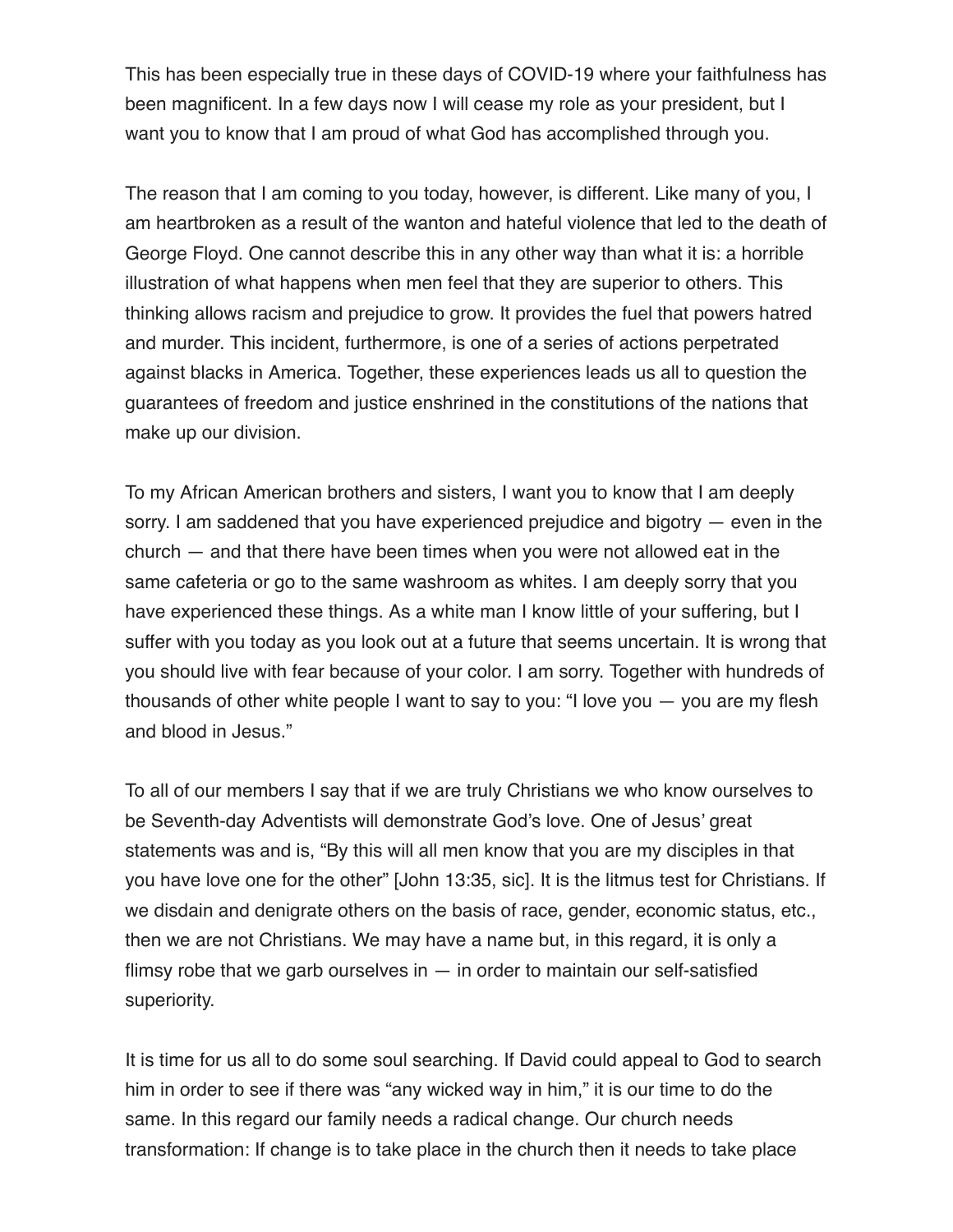This has been especially true in these days of COVID-19 where your faithfulness has been magnificent. In a few days now I will cease my role as your president, but I want you to know that I am proud of what God has accomplished through you.

The reason that I am coming to you today, however, is different. Like many of you, I am heartbroken as a result of the wanton and hateful violence that led to the death of George Floyd. One cannot describe this in any other way than what it is: a horrible illustration of what happens when men feel that they are superior to others. This thinking allows racism and prejudice to grow. It provides the fuel that powers hatred and murder. This incident, furthermore, is one of a series of actions perpetrated against blacks in America. Together, these experiences leads us all to question the guarantees of freedom and justice enshrined in the constitutions of the nations that make up our division.

To my African American brothers and sisters, I want you to know that I am deeply sorry. I am saddened that you have experienced prejudice and bigotry — even in the church — and that there have been times when you were not allowed eat in the same cafeteria or go to the same washroom as whites. I am deeply sorry that you have experienced these things. As a white man I know little of your suffering, but I suffer with you today as you look out at a future that seems uncertain. It is wrong that you should live with fear because of your color. I am sorry. Together with hundreds of thousands of other white people I want to say to you: "I love you — you are my flesh and blood in Jesus."

To all of our members I say that if we are truly Christians we who know ourselves to be Seventh-day Adventists will demonstrate God's love. One of Jesus' great statements was and is, "By this will all men know that you are my disciples in that you have love one for the other" [John 13:35, sic]. It is the litmus test for Christians. If we disdain and denigrate others on the basis of race, gender, economic status, etc., then we are not Christians. We may have a name but, in this regard, it is only a flimsy robe that we garb ourselves in  $-$  in order to maintain our self-satisfied superiority.

It is time for us all to do some soul searching. If David could appeal to God to search him in order to see if there was "any wicked way in him," it is our time to do the same. In this regard our family needs a radical change. Our church needs transformation: If change is to take place in the church then it needs to take place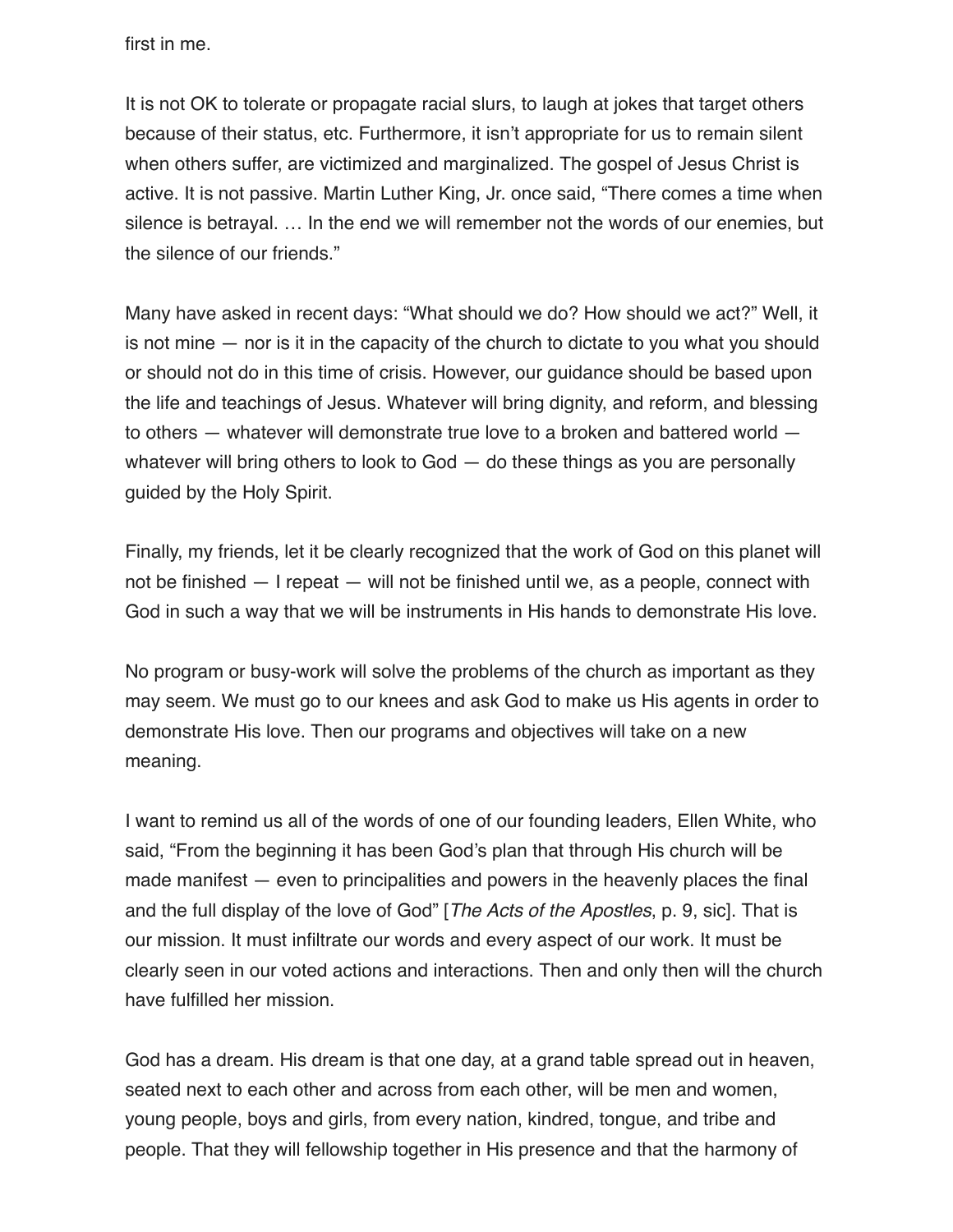first in me.

It is not OK to tolerate or propagate racial slurs, to laugh at jokes that target others because of their status, etc. Furthermore, it isn't appropriate for us to remain silent when others suffer, are victimized and marginalized. The gospel of Jesus Christ is active. It is not passive. Martin Luther King, Jr. once said, "There comes a time when silence is betrayal. … In the end we will remember not the words of our enemies, but the silence of our friends."

Many have asked in recent days: "What should we do? How should we act?" Well, it is not mine — nor is it in the capacity of the church to dictate to you what you should or should not do in this time of crisis. However, our guidance should be based upon the life and teachings of Jesus. Whatever will bring dignity, and reform, and blessing to others — whatever will demonstrate true love to a broken and battered world whatever will bring others to look to God — do these things as you are personally guided by the Holy Spirit.

Finally, my friends, let it be clearly recognized that the work of God on this planet will not be finished — I repeat — will not be finished until we, as a people, connect with God in such a way that we will be instruments in His hands to demonstrate His love.

No program or busy-work will solve the problems of the church as important as they may seem. We must go to our knees and ask God to make us His agents in order to demonstrate His love. Then our programs and objectives will take on a new meaning.

I want to remind us all of the words of one of our founding leaders, Ellen White, who said, "From the beginning it has been God's plan that through His church will be made manifest — even to principalities and powers in the heavenly places the final and the full display of the love of God" [*The Acts of the Apostles*, p. 9, sic]. That is our mission. It must infiltrate our words and every aspect of our work. It must be clearly seen in our voted actions and interactions. Then and only then will the church have fulfilled her mission.

God has a dream. His dream is that one day, at a grand table spread out in heaven, seated next to each other and across from each other, will be men and women, young people, boys and girls, from every nation, kindred, tongue, and tribe and people. That they will fellowship together in His presence and that the harmony of